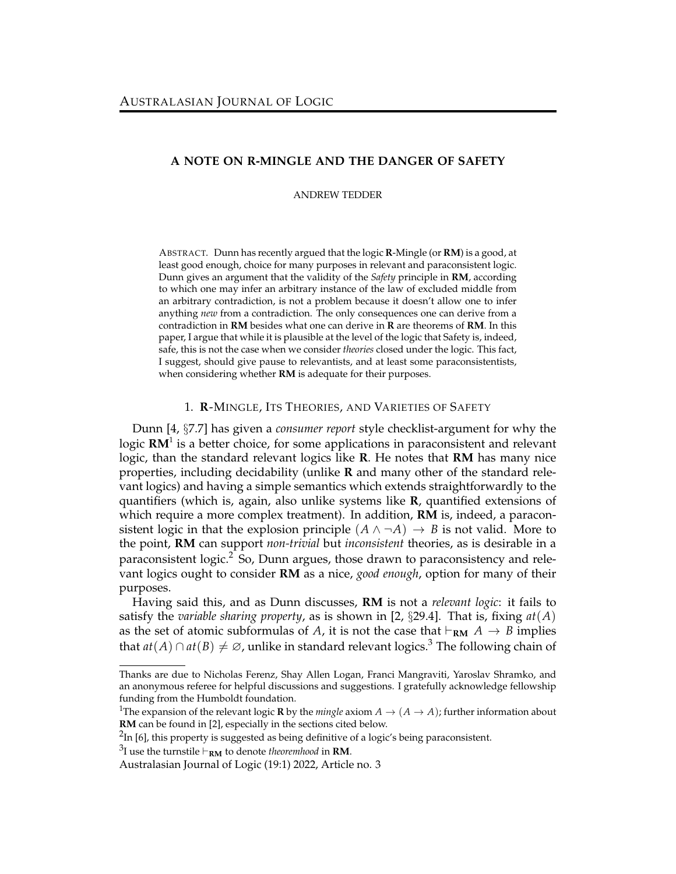## **A NOTE ON R-MINGLE AND THE DANGER OF SAFETY**

ANDREW TEDDER

ABSTRACT. Dunn has recently argued that the logic **R**-Mingle (or **RM**) is a good, at least good enough, choice for many purposes in relevant and paraconsistent logic. Dunn gives an argument that the validity of the *Safety* principle in **RM**, according to which one may infer an arbitrary instance of the law of excluded middle from an arbitrary contradiction, is not a problem because it doesn't allow one to infer anything *new* from a contradiction. The only consequences one can derive from a contradiction in **RM** besides what one can derive in **R** are theorems of **RM**. In this paper, I argue that while it is plausible at the level of the logic that Safety is, indeed, safe, this is not the case when we consider *theories* closed under the logic. This fact, I suggest, should give pause to relevantists, and at least some paraconsistentists, when considering whether **RM** is adequate for their purposes.

## 1. **R**-MINGLE, ITS THEORIES, AND VARIETIES OF SAFETY

Dunn [4, §7.7] has given a *consumer report* style checklist-argument for why the logic **RM**<sup>1</sup> is a better choice, for some applications in paraconsistent and relevant logic, than the standard relevant logics like **R**. He notes that **RM** has many nice properties, including decidability (unlike **R** and many other of the standard relevant logics) and having a simple semantics which extends straightforwardly to the quantifiers (which is, again, also unlike systems like **R**, quantified extensions of which require a more complex treatment). In addition, **RM** is, indeed, a paraconsistent logic in that the explosion principle  $(A \land \neg A) \rightarrow B$  is not valid. More to the point, **RM** can support *non-trivial* but *inconsistent* theories, as is desirable in a paraconsistent logic.<sup>2</sup> So, Dunn argues, those drawn to paraconsistency and relevant logics ought to consider **RM** as a nice, *good enough*, option for many of their purposes.

Having said this, and as Dunn discusses, **RM** is not a *relevant logic*: it fails to satisfy the *variable sharing property*, as is shown in [2, §29.4]. That is, fixing *at*(*A*) as the set of atomic subformulas of *A*, it is not the case that  $\vdash_{\bf RM} A \rightarrow B$  implies that  $at(A) \cap at(B) \neq \emptyset$ , unlike in standard relevant logics.<sup>3</sup> The following chain of

Thanks are due to Nicholas Ferenz, Shay Allen Logan, Franci Mangraviti, Yaroslav Shramko, and an anonymous referee for helpful discussions and suggestions. I gratefully acknowledge fellowship funding from the Humboldt foundation.

<sup>&</sup>lt;sup>1</sup>The expansion of the relevant logic **R** by the *mingle* axiom  $A \rightarrow (A \rightarrow A)$ ; further information about **RM** can be found in [2], especially in the sections cited below.

 $^{2}$ In [6], this property is suggested as being definitive of a logic's being paraconsistent.

 $^3$ I use the turnstile  $\vdash_{\bf RM}$  to denote *theoremhood* in **RM**.

Australasian Journal of Logic (19:1) 2022, Article no. 3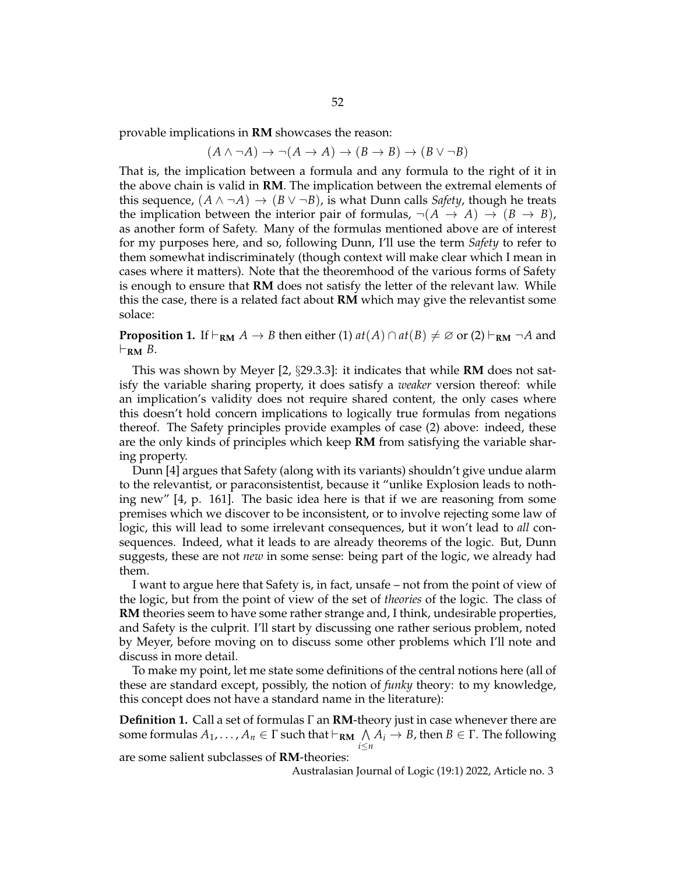provable implications in **RM** showcases the reason:

$$
(A \land \neg A) \to \neg(A \to A) \to (B \to B) \to (B \lor \neg B)
$$

That is, the implication between a formula and any formula to the right of it in the above chain is valid in **RM**. The implication between the extremal elements of this sequence,  $(A \land \neg A) \rightarrow (B \lor \neg B)$ , is what Dunn calls *Safety*, though he treats the implication between the interior pair of formulas,  $\neg(A \rightarrow A) \rightarrow (B \rightarrow B)$ , as another form of Safety. Many of the formulas mentioned above are of interest for my purposes here, and so, following Dunn, I'll use the term *Safety* to refer to them somewhat indiscriminately (though context will make clear which I mean in cases where it matters). Note that the theoremhood of the various forms of Safety is enough to ensure that **RM** does not satisfy the letter of the relevant law. While this the case, there is a related fact about **RM** which may give the relevantist some solace:

**Proposition 1.** If  $\vdash_{\mathbf{RM}} A \rightarrow B$  then either (1)  $at(A) \cap at(B) \neq \emptyset$  or (2)  $\vdash_{\mathbf{RM}} \neg A$  and  $\vdash_{\mathbf{RM}} B$ .

This was shown by Meyer [2, §29.3.3]: it indicates that while **RM** does not satisfy the variable sharing property, it does satisfy a *weaker* version thereof: while an implication's validity does not require shared content, the only cases where this doesn't hold concern implications to logically true formulas from negations thereof. The Safety principles provide examples of case (2) above: indeed, these are the only kinds of principles which keep **RM** from satisfying the variable sharing property.

Dunn [4] argues that Safety (along with its variants) shouldn't give undue alarm to the relevantist, or paraconsistentist, because it "unlike Explosion leads to nothing new" [4, p. 161]. The basic idea here is that if we are reasoning from some premises which we discover to be inconsistent, or to involve rejecting some law of logic, this will lead to some irrelevant consequences, but it won't lead to *all* consequences. Indeed, what it leads to are already theorems of the logic. But, Dunn suggests, these are not *new* in some sense: being part of the logic, we already had them.

I want to argue here that Safety is, in fact, unsafe – not from the point of view of the logic, but from the point of view of the set of *theories* of the logic. The class of **RM** theories seem to have some rather strange and, I think, undesirable properties, and Safety is the culprit. I'll start by discussing one rather serious problem, noted by Meyer, before moving on to discuss some other problems which I'll note and discuss in more detail.

To make my point, let me state some definitions of the central notions here (all of these are standard except, possibly, the notion of *funky* theory: to my knowledge, this concept does not have a standard name in the literature):

**Definition 1.** Call a set of formulas Γ an **RM**-theory just in case whenever there are some formulas  $A_1, \ldots, A_n \in \Gamma$  such that  $\vdash_{\bf RM} \bigwedge A_i \to B$ , then  $B \in \Gamma$ . The following *i*≤*n*

are some salient subclasses of **RM**-theories:

Australasian Journal of Logic (19:1) 2022, Article no. 3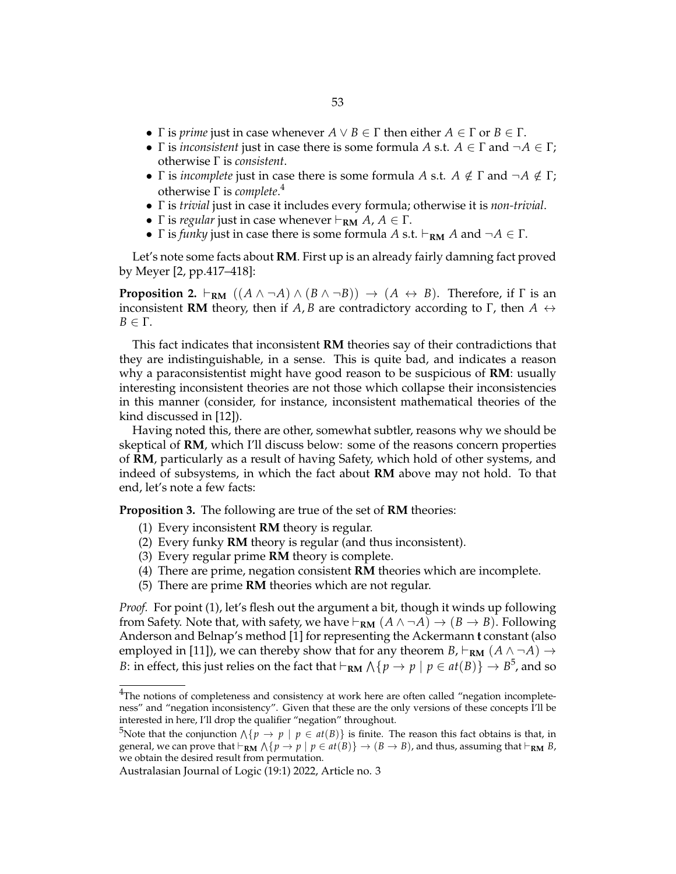- *Γ* is *prime* just in case whenever  $A \lor B \in \Gamma$  then either  $A \in \Gamma$  or  $B \in \Gamma$ .
- $\Gamma$  is *inconsistent* just in case there is some formula *A* s.t.  $A \in \Gamma$  and  $\neg A \in \Gamma$ ; otherwise Γ is *consistent*.
- Γ is *incomplete* just in case there is some formula *A* s.t.  $A \notin \Gamma$  and  $\neg A \notin \Gamma$ ; otherwise Γ is *complete*. 4
- Γ is *trivial* just in case it includes every formula; otherwise it is *non-trivial*.
- *Γ* is *regular* just in case whenever  $\vdash_{\bf RM} A$ ,  $A \in \Gamma$ .
- *Γ* is *funky* just in case there is some formula *A* s.t.  $\vdash_{\bf RM}$  *A* and  $\neg A \in \Gamma$ .

Let's note some facts about **RM**. First up is an already fairly damning fact proved by Meyer [2, pp.417–418]:

**Proposition 2.**  $\vdash_{\mathbf{RM}} ((A \land \neg A) \land (B \land \neg B)) \rightarrow (A \leftrightarrow B)$ . Therefore, if  $\Gamma$  is an inconsistent **RM** theory, then if *A*, *B* are contradictory according to Γ, then  $A \leftrightarrow$ *B* ∈ Γ.

This fact indicates that inconsistent **RM** theories say of their contradictions that they are indistinguishable, in a sense. This is quite bad, and indicates a reason why a paraconsistentist might have good reason to be suspicious of **RM**: usually interesting inconsistent theories are not those which collapse their inconsistencies in this manner (consider, for instance, inconsistent mathematical theories of the kind discussed in [12]).

Having noted this, there are other, somewhat subtler, reasons why we should be skeptical of **RM**, which I'll discuss below: some of the reasons concern properties of **RM**, particularly as a result of having Safety, which hold of other systems, and indeed of subsystems, in which the fact about **RM** above may not hold. To that end, let's note a few facts:

**Proposition 3.** The following are true of the set of **RM** theories:

- (1) Every inconsistent **RM** theory is regular.
- (2) Every funky **RM** theory is regular (and thus inconsistent).
- (3) Every regular prime **RM** theory is complete.
- (4) There are prime, negation consistent **RM** theories which are incomplete.
- (5) There are prime **RM** theories which are not regular.

*Proof.* For point (1), let's flesh out the argument a bit, though it winds up following from Safety. Note that, with safety, we have  $\vdash_{\bf RM}(A \land \neg A) \rightarrow (B \rightarrow B)$ . Following Anderson and Belnap's method [1] for representing the Ackermann **t** constant (also employed in [11]), we can thereby show that for any theorem *B*,  $\vdash_{RM}$  ( $A \land \neg A$ )  $\rightarrow$ *B*: in effect, this just relies on the fact that  $\vdash_{\bf RM} \bigwedge \{ p \to p \mid p \in \mathit{at}(B) \} \to B^5$ , and so

<sup>&</sup>lt;sup>4</sup>The notions of completeness and consistency at work here are often called "negation incompleteness" and "negation inconsistency". Given that these are the only versions of these concepts I'll be interested in here, I'll drop the qualifier "negation" throughout.

 $^5$ Note that the conjunction  $\wedge$  { $p \to p \mid p \in$   $at(B)$ } is finite. The reason this fact obtains is that, in general, we can prove that  $\vdash_{\bf RM} \wedge \{p\to p\mid p\in at(B)\}\to (B\to B)$ , and thus, assuming that  $\vdash_{\bf RM} B$ , we obtain the desired result from permutation.

Australasian Journal of Logic (19:1) 2022, Article no. 3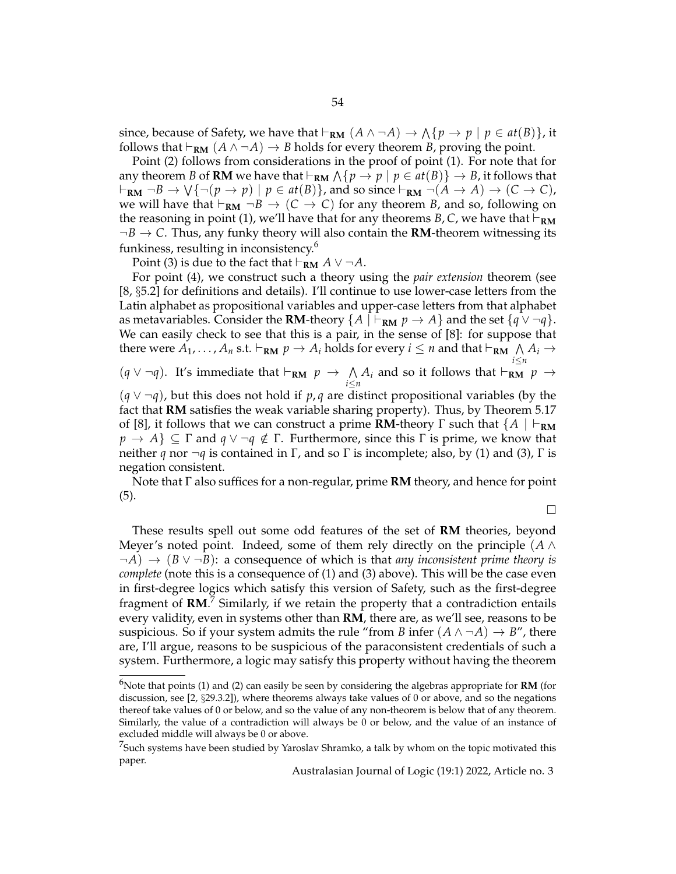since, because of Safety, we have that  $\vdash_{\bf RM}(A\wedge\neg A)\to\wedge\{p\to p\mid p\in\mathit{at}(B)\}$ , it follows that  $\vdash_{\bf RM}(A\wedge\neg A)\rightarrow B$  holds for every theorem *B*, proving the point.

Point (2) follows from considerations in the proof of point (1). For note that for any theorem *B* of **RM** we have that  $\vdash_{\mathbf{RM}} \bigwedge \{ p \to p \mid p \in \mathit{at}(B) \} \to B$ , it follows that  $\vdash_{\bf RM} \neg B \to \bigvee \{\neg(p \to p) \mid p \in \mathit{at}(B)\}\text{, and so since } \vdash_{\bf RM} \neg(A \to A) \to (C \to C)\text{,}$ we will have that  $\vdash_{\bf RM} \neg B \rightarrow (C \rightarrow C)$  for any theorem *B*, and so, following on the reasoning in point (1), we'll have that for any theorems *B*, *C*, we have that  $\vdash_{\mathbf{RM}}$  $\neg B \rightarrow C$ . Thus, any funky theory will also contain the **RM**-theorem witnessing its funkiness, resulting in inconsistency.<sup>6</sup>

Point (3) is due to the fact that  $\vdash_{\bf RM} A \lor \neg A$ .

For point (4), we construct such a theory using the *pair extension* theorem (see [8, §5.2] for definitions and details). I'll continue to use lower-case letters from the Latin alphabet as propositional variables and upper-case letters from that alphabet as metavariables. Consider the **RM**-theory  $\{A \mid \vdash_{\mathbf{RM}} p \to A\}$  and the set  $\{q \lor \neg q\}$ . We can easily check to see that this is a pair, in the sense of [8]: for suppose that there were  $A_1, \ldots, A_n$  s.t.  $\vdash_{\mathbf{RM}} p \to A_i$  holds for every  $i \leq n$  and that  $\vdash_{\mathbf{RM}} \bigwedge_{i \leq n} A_i \to$  $(q \vee \neg q)$ . It's immediate that  $\vdash_{\bf RM} p \rightarrow \wedge$  $\bigwedge_{i \leq n} A_i$  and so it follows that  $\vdash_{\bf RM} p \rightarrow$ (*q* ∨ ¬*q*), but this does not hold if *p*, *q* are distinct propositional variables (by the fact that **RM** satisfies the weak variable sharing property). Thus, by Theorem 5.17 of [8], it follows that we can construct a prime **RM**-theory  $\Gamma$  such that  $\{A \mid \vdash_{\mathbf{RM}}\}$  $p \to A$ }  $\subseteq \Gamma$  and  $q \vee \neg q \notin \Gamma$ . Furthermore, since this  $\Gamma$  is prime, we know that neither *q* nor  $\neg$ *q* is contained in Γ, and so Γ is incomplete; also, by (1) and (3), Γ is negation consistent.

Note that Γ also suffices for a non-regular, prime **RM** theory, and hence for point (5).

 $\Box$ 

These results spell out some odd features of the set of **RM** theories, beyond Meyer's noted point. Indeed, some of them rely directly on the principle (*A* ∧ ¬*A*) → (*B* ∨ ¬*B*): a consequence of which is that *any inconsistent prime theory is complete* (note this is a consequence of (1) and (3) above). This will be the case even in first-degree logics which satisfy this version of Safety, such as the first-degree fragment of **RM**.<sup>7</sup> Similarly, if we retain the property that a contradiction entails every validity, even in systems other than **RM**, there are, as we'll see, reasons to be suspicious. So if your system admits the rule "from *B* infer  $(A \land \neg A) \rightarrow B$ ", there are, I'll argue, reasons to be suspicious of the paraconsistent credentials of such a system. Furthermore, a logic may satisfy this property without having the theorem

<sup>6</sup>Note that points (1) and (2) can easily be seen by considering the algebras appropriate for **RM** (for discussion, see [2, §29.3.2]), where theorems always take values of 0 or above, and so the negations thereof take values of 0 or below, and so the value of any non-theorem is below that of any theorem. Similarly, the value of a contradiction will always be 0 or below, and the value of an instance of excluded middle will always be 0 or above.

 $^{7}$ Such systems have been studied by Yaroslav Shramko, a talk by whom on the topic motivated this paper.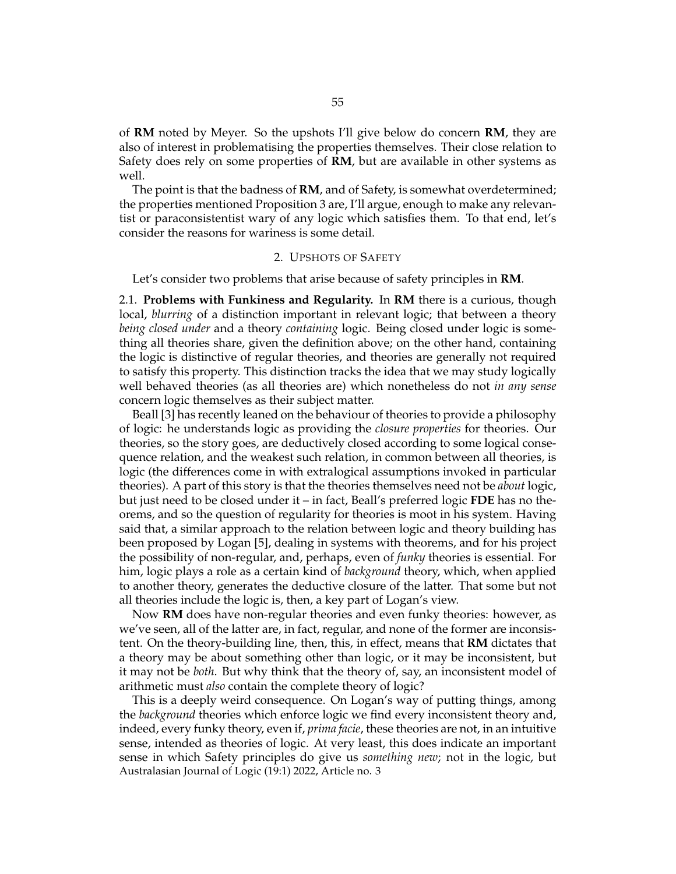of **RM** noted by Meyer. So the upshots I'll give below do concern **RM**, they are also of interest in problematising the properties themselves. Their close relation to Safety does rely on some properties of **RM**, but are available in other systems as well.

The point is that the badness of **RM**, and of Safety, is somewhat overdetermined; the properties mentioned Proposition 3 are, I'll argue, enough to make any relevantist or paraconsistentist wary of any logic which satisfies them. To that end, let's consider the reasons for wariness is some detail.

## 2. UPSHOTS OF SAFETY

Let's consider two problems that arise because of safety principles in **RM**.

2.1. **Problems with Funkiness and Regularity.** In **RM** there is a curious, though local, *blurring* of a distinction important in relevant logic; that between a theory *being closed under* and a theory *containing* logic. Being closed under logic is something all theories share, given the definition above; on the other hand, containing the logic is distinctive of regular theories, and theories are generally not required to satisfy this property. This distinction tracks the idea that we may study logically well behaved theories (as all theories are) which nonetheless do not *in any sense* concern logic themselves as their subject matter.

Beall [3] has recently leaned on the behaviour of theories to provide a philosophy of logic: he understands logic as providing the *closure properties* for theories. Our theories, so the story goes, are deductively closed according to some logical consequence relation, and the weakest such relation, in common between all theories, is logic (the differences come in with extralogical assumptions invoked in particular theories). A part of this story is that the theories themselves need not be *about* logic, but just need to be closed under it – in fact, Beall's preferred logic **FDE** has no theorems, and so the question of regularity for theories is moot in his system. Having said that, a similar approach to the relation between logic and theory building has been proposed by Logan [5], dealing in systems with theorems, and for his project the possibility of non-regular, and, perhaps, even of *funky* theories is essential. For him, logic plays a role as a certain kind of *background* theory, which, when applied to another theory, generates the deductive closure of the latter. That some but not all theories include the logic is, then, a key part of Logan's view.

Now **RM** does have non-regular theories and even funky theories: however, as we've seen, all of the latter are, in fact, regular, and none of the former are inconsistent. On the theory-building line, then, this, in effect, means that **RM** dictates that a theory may be about something other than logic, or it may be inconsistent, but it may not be *both*. But why think that the theory of, say, an inconsistent model of arithmetic must *also* contain the complete theory of logic?

This is a deeply weird consequence. On Logan's way of putting things, among the *background* theories which enforce logic we find every inconsistent theory and, indeed, every funky theory, even if, *prima facie*, these theories are not, in an intuitive sense, intended as theories of logic. At very least, this does indicate an important sense in which Safety principles do give us *something new*; not in the logic, but Australasian Journal of Logic (19:1) 2022, Article no. 3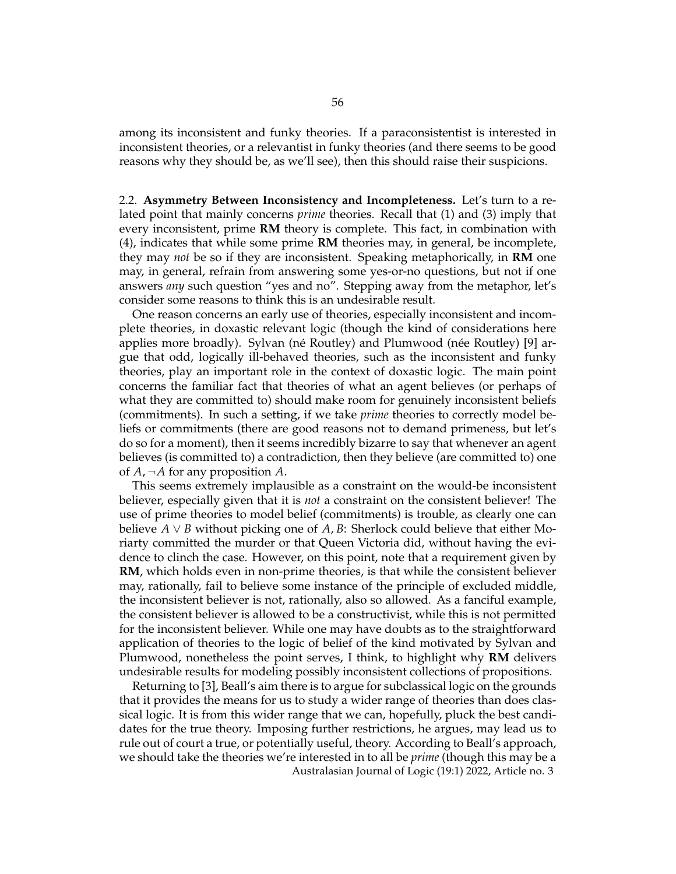among its inconsistent and funky theories. If a paraconsistentist is interested in inconsistent theories, or a relevantist in funky theories (and there seems to be good reasons why they should be, as we'll see), then this should raise their suspicions.

2.2. **Asymmetry Between Inconsistency and Incompleteness.** Let's turn to a related point that mainly concerns *prime* theories. Recall that (1) and (3) imply that every inconsistent, prime **RM** theory is complete. This fact, in combination with (4), indicates that while some prime **RM** theories may, in general, be incomplete, they may *not* be so if they are inconsistent. Speaking metaphorically, in **RM** one may, in general, refrain from answering some yes-or-no questions, but not if one answers *any* such question "yes and no". Stepping away from the metaphor, let's consider some reasons to think this is an undesirable result.

One reason concerns an early use of theories, especially inconsistent and incomplete theories, in doxastic relevant logic (though the kind of considerations here applies more broadly). Sylvan (né Routley) and Plumwood (née Routley) [9] argue that odd, logically ill-behaved theories, such as the inconsistent and funky theories, play an important role in the context of doxastic logic. The main point concerns the familiar fact that theories of what an agent believes (or perhaps of what they are committed to) should make room for genuinely inconsistent beliefs (commitments). In such a setting, if we take *prime* theories to correctly model beliefs or commitments (there are good reasons not to demand primeness, but let's do so for a moment), then it seems incredibly bizarre to say that whenever an agent believes (is committed to) a contradiction, then they believe (are committed to) one of *A*, ¬*A* for any proposition *A*.

This seems extremely implausible as a constraint on the would-be inconsistent believer, especially given that it is *not* a constraint on the consistent believer! The use of prime theories to model belief (commitments) is trouble, as clearly one can believe  $A \vee B$  without picking one of  $A, B$ : Sherlock could believe that either Moriarty committed the murder or that Queen Victoria did, without having the evidence to clinch the case. However, on this point, note that a requirement given by **RM**, which holds even in non-prime theories, is that while the consistent believer may, rationally, fail to believe some instance of the principle of excluded middle, the inconsistent believer is not, rationally, also so allowed. As a fanciful example, the consistent believer is allowed to be a constructivist, while this is not permitted for the inconsistent believer. While one may have doubts as to the straightforward application of theories to the logic of belief of the kind motivated by Sylvan and Plumwood, nonetheless the point serves, I think, to highlight why **RM** delivers undesirable results for modeling possibly inconsistent collections of propositions.

Returning to [3], Beall's aim there is to argue for subclassical logic on the grounds that it provides the means for us to study a wider range of theories than does classical logic. It is from this wider range that we can, hopefully, pluck the best candidates for the true theory. Imposing further restrictions, he argues, may lead us to rule out of court a true, or potentially useful, theory. According to Beall's approach, we should take the theories we're interested in to all be *prime* (though this may be a Australasian Journal of Logic (19:1) 2022, Article no. 3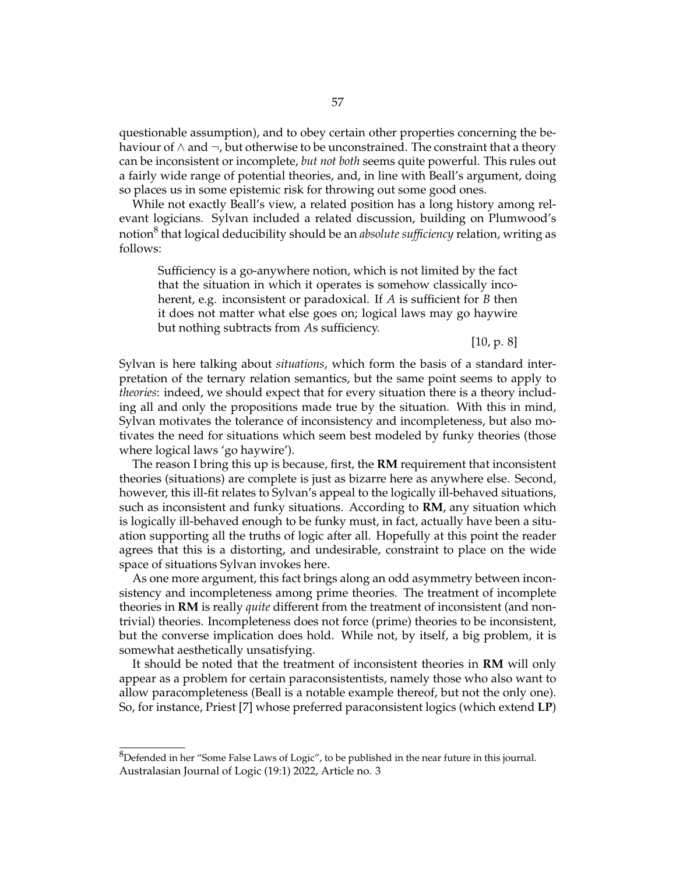questionable assumption), and to obey certain other properties concerning the behaviour of  $\wedge$  and  $\neg$ , but otherwise to be unconstrained. The constraint that a theory can be inconsistent or incomplete, *but not both* seems quite powerful. This rules out a fairly wide range of potential theories, and, in line with Beall's argument, doing so places us in some epistemic risk for throwing out some good ones.

While not exactly Beall's view, a related position has a long history among relevant logicians. Sylvan included a related discussion, building on Plumwood's notion<sup>8</sup> that logical deducibility should be an *absolute sufficiency* relation*,* writing as follows:

Sufficiency is a go-anywhere notion, which is not limited by the fact that the situation in which it operates is somehow classically incoherent, e.g. inconsistent or paradoxical. If *A* is sufficient for *B* then it does not matter what else goes on; logical laws may go haywire but nothing subtracts from *A*s sufficiency.

[10, p. 8]

Sylvan is here talking about *situations*, which form the basis of a standard interpretation of the ternary relation semantics, but the same point seems to apply to *theories*: indeed, we should expect that for every situation there is a theory including all and only the propositions made true by the situation. With this in mind, Sylvan motivates the tolerance of inconsistency and incompleteness, but also motivates the need for situations which seem best modeled by funky theories (those where logical laws 'go haywire').

The reason I bring this up is because, first, the **RM** requirement that inconsistent theories (situations) are complete is just as bizarre here as anywhere else. Second, however, this ill-fit relates to Sylvan's appeal to the logically ill-behaved situations, such as inconsistent and funky situations. According to **RM**, any situation which is logically ill-behaved enough to be funky must, in fact, actually have been a situation supporting all the truths of logic after all. Hopefully at this point the reader agrees that this is a distorting, and undesirable, constraint to place on the wide space of situations Sylvan invokes here.

As one more argument, this fact brings along an odd asymmetry between inconsistency and incompleteness among prime theories. The treatment of incomplete theories in **RM** is really *quite* different from the treatment of inconsistent (and nontrivial) theories. Incompleteness does not force (prime) theories to be inconsistent, but the converse implication does hold. While not, by itself, a big problem, it is somewhat aesthetically unsatisfying.

It should be noted that the treatment of inconsistent theories in **RM** will only appear as a problem for certain paraconsistentists, namely those who also want to allow paracompleteness (Beall is a notable example thereof, but not the only one). So, for instance, Priest [7] whose preferred paraconsistent logics (which extend **LP**)

 ${}^{8}$ Defended in her "Some False Laws of Logic", to be published in the near future in this journal. Australasian Journal of Logic (19:1) 2022, Article no. 3